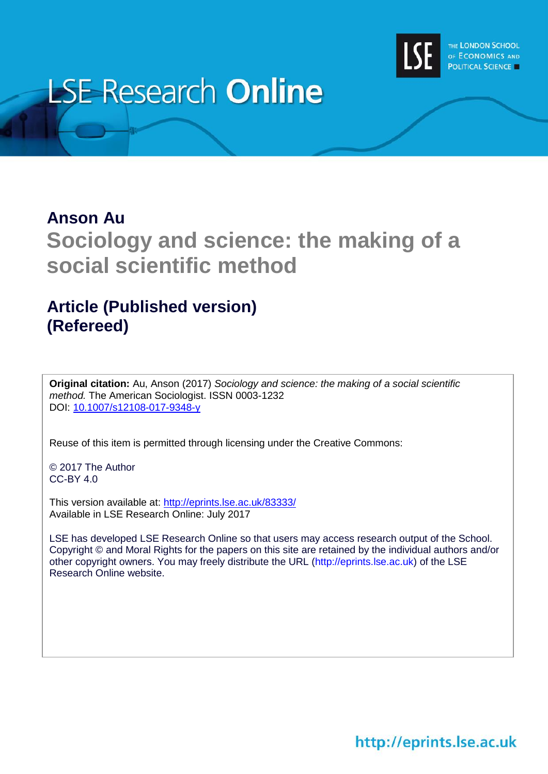

# **LSE Research Online**

## **Anson Au Sociology and science: the making of a social scientific method**

### **Article (Published version) (Refereed)**

**Original citation:** Au, Anson (2017) *Sociology and science: the making of a social scientific method.* The American Sociologist. ISSN 0003-1232 DOI: [10.1007/s12108-017-9348-y](http://dx.doi.org/10.1007/s12108-017-9348-y)

Reuse of this item is permitted through licensing under the Creative Commons:

© 2017 The Author CC-BY 4.0

This version available at: <http://eprints.lse.ac.uk/83333/> Available in LSE Research Online: July 2017

LSE has developed LSE Research Online so that users may access research output of the School. Copyright © and Moral Rights for the papers on this site are retained by the individual authors and/or other copyright owners. You may freely distribute the URL (http://eprints.lse.ac.uk) of the LSE Research Online website.

http://eprints.lse.ac.uk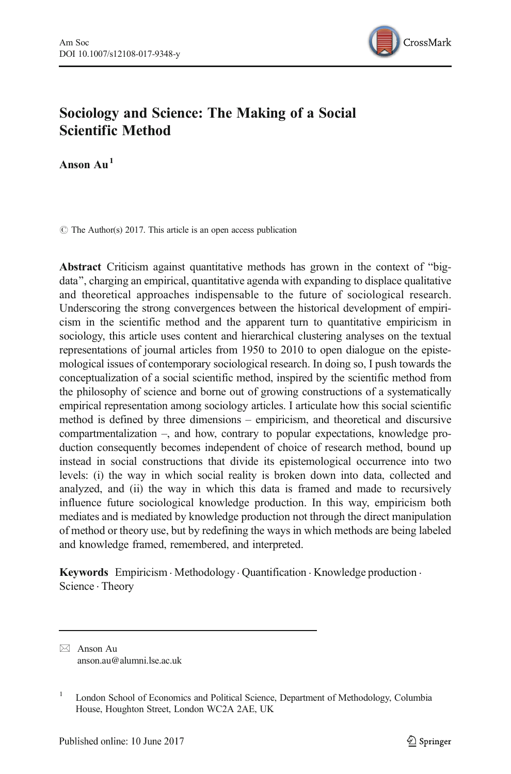

#### Sociology and Science: The Making of a Social Scientific Method

Anson  $Au<sup>1</sup>$ 

 $\circ$  The Author(s) 2017. This article is an open access publication

Abstract Criticism against quantitative methods has grown in the context of "bigdata", charging an empirical, quantitative agenda with expanding to displace qualitative and theoretical approaches indispensable to the future of sociological research. Underscoring the strong convergences between the historical development of empiricism in the scientific method and the apparent turn to quantitative empiricism in sociology, this article uses content and hierarchical clustering analyses on the textual representations of journal articles from 1950 to 2010 to open dialogue on the epistemological issues of contemporary sociological research. In doing so, I push towards the conceptualization of a social scientific method, inspired by the scientific method from the philosophy of science and borne out of growing constructions of a systematically empirical representation among sociology articles. I articulate how this social scientific method is defined by three dimensions – empiricism, and theoretical and discursive compartmentalization –, and how, contrary to popular expectations, knowledge production consequently becomes independent of choice of research method, bound up instead in social constructions that divide its epistemological occurrence into two levels: (i) the way in which social reality is broken down into data, collected and analyzed, and (ii) the way in which this data is framed and made to recursively influence future sociological knowledge production. In this way, empiricism both mediates and is mediated by knowledge production not through the direct manipulation of method or theory use, but by redefining the ways in which methods are being labeled and knowledge framed, remembered, and interpreted.

Keywords Empiricism · Methodology · Quantification · Knowledge production · Science . Theory

 $\boxtimes$  Anson Au anson.au@alumni.lse.ac.uk

<sup>&</sup>lt;sup>1</sup> London School of Economics and Political Science, Department of Methodology, Columbia House, Houghton Street, London WC2A 2AE, UK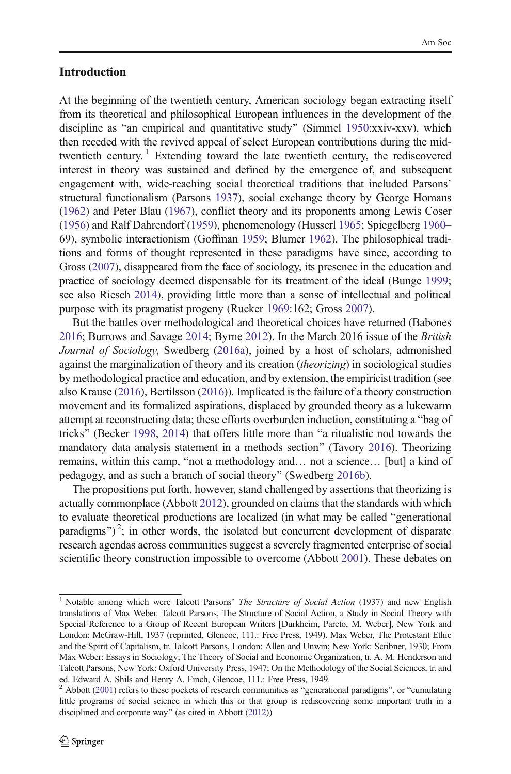#### Introduction

At the beginning of the twentieth century, American sociology began extracting itself from its theoretical and philosophical European influences in the development of the discipline as "an empirical and quantitative study" (Simmel  $1950:xxiv-xxv$  $1950:xxiv-xxv$ ), which then receded with the revived appeal of select European contributions during the midtwentieth century.<sup>1</sup> Extending toward the late twentieth century, the rediscovered interest in theory was sustained and defined by the emergence of, and subsequent engagement with, wide-reaching social theoretical traditions that included Parsons' structural functionalism (Parsons [1937\)](#page-18-0), social exchange theory by George Homans [\(1962\)](#page-17-0) and Peter Blau ([1967](#page-17-0)), conflict theory and its proponents among Lewis Coser [\(1956\)](#page-17-0) and Ralf Dahrendorf [\(1959\)](#page-17-0), phenomenology (Husserl [1965;](#page-18-0) Spiegelberg [1960](#page-18-0)– 69), symbolic interactionism (Goffman [1959](#page-17-0); Blumer [1962](#page-17-0)). The philosophical traditions and forms of thought represented in these paradigms have since, according to Gross [\(2007\)](#page-17-0), disappeared from the face of sociology, its presence in the education and practice of sociology deemed dispensable for its treatment of the ideal (Bunge [1999;](#page-17-0) see also Riesch [2014](#page-18-0)), providing little more than a sense of intellectual and political purpose with its pragmatist progeny (Rucker [1969:](#page-18-0)162; Gross [2007\)](#page-17-0).

But the battles over methodological and theoretical choices have returned (Babones [2016;](#page-17-0) Burrows and Savage [2014](#page-17-0); Byrne [2012\)](#page-17-0). In the March 2016 issue of the British Journal of Sociology, Swedberg ([2016a\)](#page-18-0), joined by a host of scholars, admonished against the marginalization of theory and its creation (theorizing) in sociological studies by methodological practice and education, and by extension, the empiricist tradition (see also Krause ([2016](#page-18-0)), Bertilsson [\(2016\)](#page-17-0)). Implicated is the failure of a theory construction movement and its formalized aspirations, displaced by grounded theory as a lukewarm attempt at reconstructing data; these efforts overburden induction, constituting a "bag of tricks" (Becker [1998](#page-17-0), [2014](#page-17-0)) that offers little more than "a ritualistic nod towards the mandatory data analysis statement in a methods section" (Tavory [2016\)](#page-18-0). Theorizing remains, within this camp, "not a methodology and... not a science... [but] a kind of pedagogy, and as such a branch of social theory^ (Swedberg [2016b](#page-18-0)).

The propositions put forth, however, stand challenged by assertions that theorizing is actually commonplace (Abbott [2012\)](#page-17-0), grounded on claims that the standards with which to evaluate theoretical productions are localized (in what may be called "generational paradigms")<sup>2</sup>; in other words, the isolated but concurrent development of disparate research agendas across communities suggest a severely fragmented enterprise of social scientific theory construction impossible to overcome (Abbott [2001](#page-17-0)). These debates on

<sup>&</sup>lt;sup>1</sup> Notable among which were Talcott Parsons' The Structure of Social Action (1937) and new English translations of Max Weber. Talcott Parsons, The Structure of Social Action, a Study in Social Theory with Special Reference to a Group of Recent European Writers [Durkheim, Pareto, M. Weber], New York and London: McGraw-Hill, 1937 (reprinted, Glencoe, 111.: Free Press, 1949). Max Weber, The Protestant Ethic and the Spirit of Capitalism, tr. Talcott Parsons, London: Allen and Unwin; New York: Scribner, 1930; From Max Weber: Essays in Sociology; The Theory of Social and Economic Organization, tr. A. M. Henderson and Talcott Parsons, New York: Oxford University Press, 1947; On the Methodology of the Social Sciences, tr. and ed. Edward A. Shils and Henry A. Finch, Glencoe, 111.: Free Press, 1949.

Abbott  $(2001)$  refers to these pockets of research communities as "generational paradigms", or "cumulating little programs of social science in which this or that group is rediscovering some important truth in a disciplined and corporate way" (as cited in Abbott ([2012](#page-17-0)))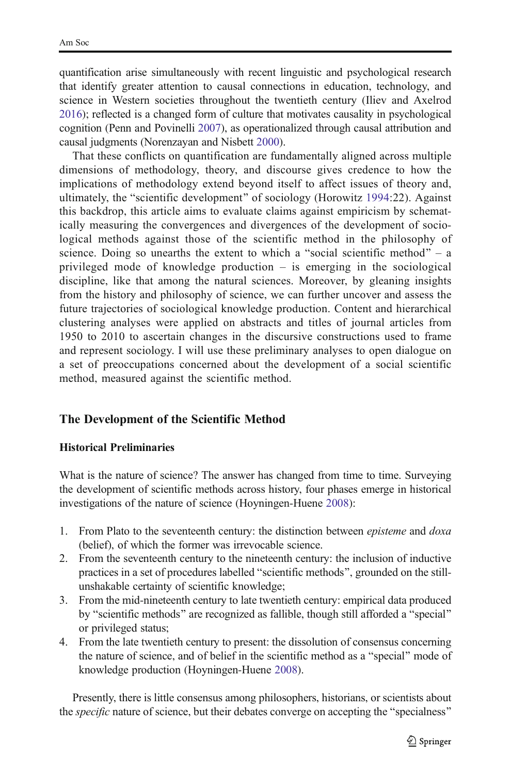quantification arise simultaneously with recent linguistic and psychological research that identify greater attention to causal connections in education, technology, and science in Western societies throughout the twentieth century (Iliev and Axelrod [2016\)](#page-18-0); reflected is a changed form of culture that motivates causality in psychological cognition (Penn and Povinelli [2007\)](#page-18-0), as operationalized through causal attribution and causal judgments (Norenzayan and Nisbett [2000](#page-18-0)).

That these conflicts on quantification are fundamentally aligned across multiple dimensions of methodology, theory, and discourse gives credence to how the implications of methodology extend beyond itself to affect issues of theory and, ultimately, the "scientific development" of sociology (Horowitz [1994](#page-17-0):22). Against this backdrop, this article aims to evaluate claims against empiricism by schematically measuring the convergences and divergences of the development of sociological methods against those of the scientific method in the philosophy of science. Doing so unearths the extent to which a "social scientific method" – a privileged mode of knowledge production – is emerging in the sociological discipline, like that among the natural sciences. Moreover, by gleaning insights from the history and philosophy of science, we can further uncover and assess the future trajectories of sociological knowledge production. Content and hierarchical clustering analyses were applied on abstracts and titles of journal articles from 1950 to 2010 to ascertain changes in the discursive constructions used to frame and represent sociology. I will use these preliminary analyses to open dialogue on a set of preoccupations concerned about the development of a social scientific method, measured against the scientific method.

#### The Development of the Scientific Method

#### Historical Preliminaries

What is the nature of science? The answer has changed from time to time. Surveying the development of scientific methods across history, four phases emerge in historical investigations of the nature of science (Hoyningen-Huene [2008](#page-18-0)):

- 1. From Plato to the seventeenth century: the distinction between *episteme* and *doxa* (belief), of which the former was irrevocable science.
- 2. From the seventeenth century to the nineteenth century: the inclusion of inductive practices in a set of procedures labelled "scientific methods", grounded on the stillunshakable certainty of scientific knowledge;
- 3. From the mid-nineteenth century to late twentieth century: empirical data produced by "scientific methods" are recognized as fallible, though still afforded a "special" or privileged status;
- 4. From the late twentieth century to present: the dissolution of consensus concerning the nature of science, and of belief in the scientific method as a "special" mode of knowledge production (Hoyningen-Huene [2008\)](#page-18-0).

Presently, there is little consensus among philosophers, historians, or scientists about the *specific* nature of science, but their debates converge on accepting the "specialness"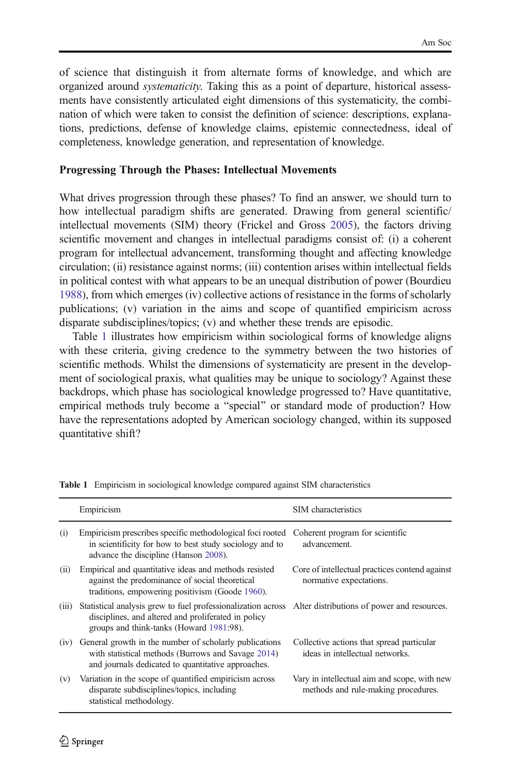of science that distinguish it from alternate forms of knowledge, and which are organized around systematicity. Taking this as a point of departure, historical assessments have consistently articulated eight dimensions of this systematicity, the combination of which were taken to consist the definition of science: descriptions, explanations, predictions, defense of knowledge claims, epistemic connectedness, ideal of completeness, knowledge generation, and representation of knowledge.

#### Progressing Through the Phases: Intellectual Movements

What drives progression through these phases? To find an answer, we should turn to how intellectual paradigm shifts are generated. Drawing from general scientific/ intellectual movements (SIM) theory (Frickel and Gross [2005\)](#page-17-0), the factors driving scientific movement and changes in intellectual paradigms consist of: (i) a coherent program for intellectual advancement, transforming thought and affecting knowledge circulation; (ii) resistance against norms; (iii) contention arises within intellectual fields in political contest with what appears to be an unequal distribution of power (Bourdieu [1988\)](#page-17-0), from which emerges (iv) collective actions of resistance in the forms of scholarly publications; (v) variation in the aims and scope of quantified empiricism across disparate subdisciplines/topics; (v) and whether these trends are episodic.

Table 1 illustrates how empiricism within sociological forms of knowledge aligns with these criteria, giving credence to the symmetry between the two histories of scientific methods. Whilst the dimensions of systematicity are present in the development of sociological praxis, what qualities may be unique to sociology? Against these backdrops, which phase has sociological knowledge progressed to? Have quantitative, empirical methods truly become a "special" or standard mode of production? How have the representations adopted by American sociology changed, within its supposed quantitative shift?

|       | Empiricism                                                                                                                                                                                                  | SIM characteristics                                                                 |
|-------|-------------------------------------------------------------------------------------------------------------------------------------------------------------------------------------------------------------|-------------------------------------------------------------------------------------|
| (i)   | Empiricism prescribes specific methodological foci rooted<br>in scientificity for how to best study sociology and to<br>advance the discipline (Hanson 2008).                                               | Coherent program for scientific<br>advancement.                                     |
| (ii)  | Empirical and quantitative ideas and methods resisted<br>against the predominance of social theoretical<br>traditions, empowering positivism (Goode 1960).                                                  | Core of intellectual practices contend against<br>normative expectations.           |
| (iii) | Statistical analysis grew to fuel professionalization across Alter distributions of power and resources.<br>disciplines, and altered and proliferated in policy<br>groups and think-tanks (Howard 1981:98). |                                                                                     |
| (iv)  | General growth in the number of scholarly publications<br>with statistical methods (Burrows and Savage 2014)<br>and journals dedicated to quantitative approaches.                                          | Collective actions that spread particular<br>ideas in intellectual networks.        |
| (v)   | Variation in the scope of quantified empiricism across<br>disparate subdisciplines/topics, including<br>statistical methodology.                                                                            | Vary in intellectual aim and scope, with new<br>methods and rule-making procedures. |

Table 1 Empiricism in sociological knowledge compared against SIM characteristics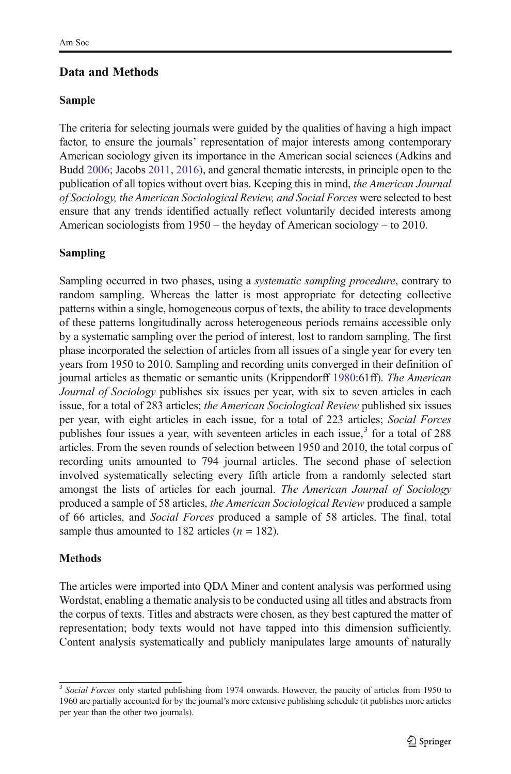#### Data and Methods

#### Sample

The criteria for selecting journals were guided by the qualities of having a high impact factor, to ensure the journals' representation of major interests among contemporary American sociology given its importance in the American social sciences (Adkins and Budd [2006](#page-17-0); Jacobs [2011,](#page-18-0) [2016](#page-18-0)), and general thematic interests, in principle open to the publication of all topics without overt bias. Keeping this in mind, the American Journal of Sociology, the American Sociological Review, and Social Forces were selected to best ensure that any trends identified actually reflect voluntarily decided interests among American sociologists from 1950 – the heyday of American sociology – to 2010.

#### Sampling

Sampling occurred in two phases, using a systematic sampling procedure, contrary to random sampling. Whereas the latter is most appropriate for detecting collective patterns within a single, homogeneous corpus of texts, the ability to trace developments of these patterns longitudinally across heterogeneous periods remains accessible only by a systematic sampling over the period of interest, lost to random sampling. The first phase incorporated the selection of articles from all issues of a single year for every ten years from 1950 to 2010. Sampling and recording units converged in their definition of journal articles as thematic or semantic units (Krippendorff [1980:](#page-18-0)61ff). The American Journal of Sociology publishes six issues per year, with six to seven articles in each issue, for a total of 283 articles; the American Sociological Review published six issues per year, with eight articles in each issue, for a total of 223 articles; Social Forces publishes four issues a year, with seventeen articles in each issue, $3$  for a total of 288 articles. From the seven rounds of selection between 1950 and 2010, the total corpus of recording units amounted to 794 journal articles. The second phase of selection involved systematically selecting every fifth article from a randomly selected start amongst the lists of articles for each journal. The American Journal of Sociology produced a sample of 58 articles, the American Sociological Review produced a sample of 66 articles, and Social Forces produced a sample of 58 articles. The final, total sample thus amounted to 182 articles  $(n = 182)$ .

#### Methods

The articles were imported into QDA Miner and content analysis was performed using Wordstat, enabling a thematic analysis to be conducted using all titles and abstracts from the corpus of texts. Titles and abstracts were chosen, as they best captured the matter of representation; body texts would not have tapped into this dimension sufficiently. Content analysis systematically and publicly manipulates large amounts of naturally

<sup>&</sup>lt;sup>3</sup> Social Forces only started publishing from 1974 onwards. However, the paucity of articles from 1950 to 1960 are partially accounted for by the journal's more extensive publishing schedule (it publishes more articles per year than the other two journals).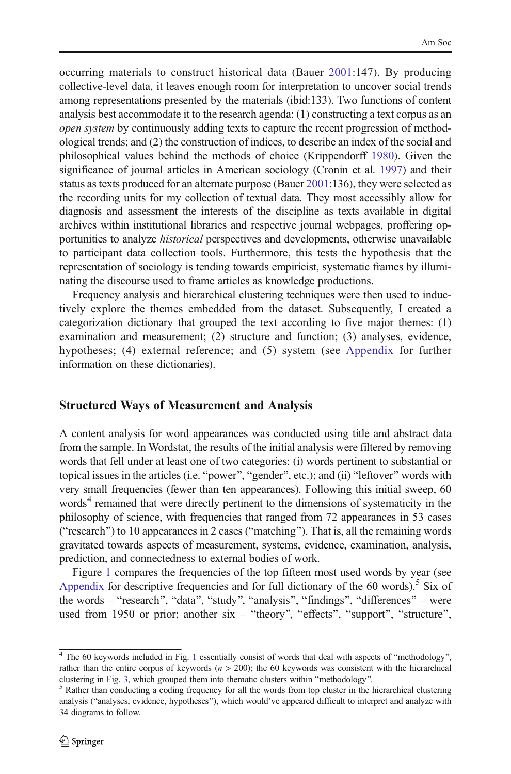occurring materials to construct historical data (Bauer [2001](#page-17-0):147). By producing collective-level data, it leaves enough room for interpretation to uncover social trends among representations presented by the materials (ibid:133). Two functions of content analysis best accommodate it to the research agenda: (1) constructing a text corpus as an open system by continuously adding texts to capture the recent progression of methodological trends; and (2) the construction of indices, to describe an index of the social and philosophical values behind the methods of choice (Krippendorff [1980\)](#page-18-0). Given the significance of journal articles in American sociology (Cronin et al. [1997](#page-17-0)) and their status as texts produced for an alternate purpose (Bauer [2001](#page-17-0):136), they were selected as the recording units for my collection of textual data. They most accessibly allow for diagnosis and assessment the interests of the discipline as texts available in digital archives within institutional libraries and respective journal webpages, proffering opportunities to analyze historical perspectives and developments, otherwise unavailable to participant data collection tools. Furthermore, this tests the hypothesis that the representation of sociology is tending towards empiricist, systematic frames by illuminating the discourse used to frame articles as knowledge productions.

Frequency analysis and hierarchical clustering techniques were then used to inductively explore the themes embedded from the dataset. Subsequently, I created a categorization dictionary that grouped the text according to five major themes: (1) examination and measurement; (2) structure and function; (3) analyses, evidence, hypotheses; (4) external reference; and (5) system (see [Appendix](#page-15-0) for further information on these dictionaries).

#### Structured Ways of Measurement and Analysis

A content analysis for word appearances was conducted using title and abstract data from the sample. In Wordstat, the results of the initial analysis were filtered by removing words that fell under at least one of two categories: (i) words pertinent to substantial or topical issues in the articles (i.e. "power", "gender", etc.); and (ii) "leftover" words with very small frequencies (fewer than ten appearances). Following this initial sweep, 60 words<sup>4</sup> remained that were directly pertinent to the dimensions of systematicity in the philosophy of science, with frequencies that ranged from 72 appearances in 53 cases ("research") to 10 appearances in 2 cases ("matching"). That is, all the remaining words gravitated towards aspects of measurement, systems, evidence, examination, analysis, prediction, and connectedness to external bodies of work.

Figure [1](#page-7-0) compares the frequencies of the top fifteen most used words by year (see [Appendix](#page-15-0) for descriptive frequencies and for full dictionary of the 60 words).<sup>5</sup> Six of the words – "research", "data", "study", "analysis", "findings", "differences" – were used from 1950 or prior; another  $s\bar{x}$  – "theory", "effects", "support", "structure",

 $4$  The 60 keywords included in Fig. [1](#page-7-0) essentially consist of words that deal with aspects of "methodology", rather than the entire corpus of keywords  $(n > 200)$ ; the 60 keywords was consistent with the hierarchical clustering in Fig. [3](#page-9-0), which grouped them into thematic clusters within "methodology".  $5$  Rather than conducting a coding frequency for all the words from top cluster in the hierarchical clustering

analysis ("analyses, evidence, hypotheses"), which would've appeared difficult to interpret and analyze with 34 diagrams to follow.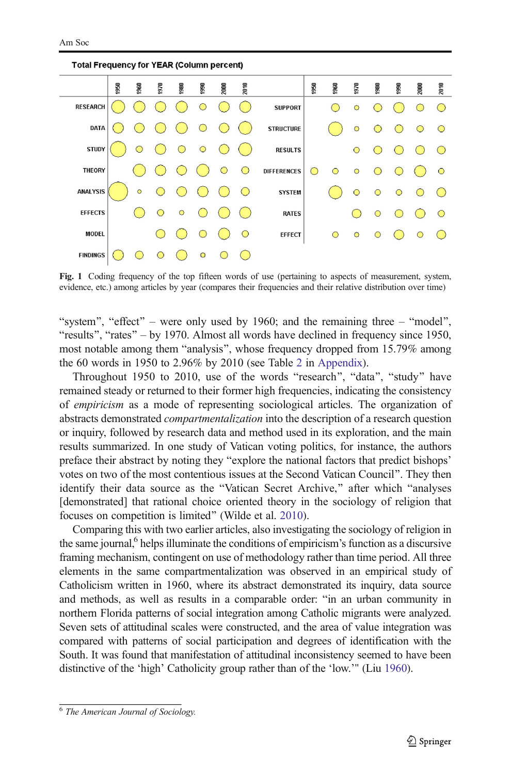Total Frequency for YEAR (Column percent)

<span id="page-7-0"></span>950  $2010$ 950 1960 960 970  $\frac{1}{2}$ 2010 1970 980 **990** goo 冨 59 RESEARCH  $\overline{O}$  $\bigcirc$  $\bigcirc$ SUPPORT Ó  $\bigcirc$  $\bigcirc$ DATA  $\circ$  $\bigcirc$ **STRUCTURE STUDY RESULTS**  $\overline{O}$ THEORY **DIFFERENCES**  $\circ$  $\circ$  $\bigcirc$  $\bigcirc$  $\ddot{\circ}$ **ANALYSIS**  $\circ$  $\overline{C}$ **SYSTEM**  $\circ$ **EFFECTS**  $\circ$  $\circ$ **RATES** ∩  $\circ$  $\circ$ ◠ **MODEL**  $\overline{O}$ EFFECT  $\bigcirc$  $\circ$  $\overline{O}$ **FINDINGS**  $\overline{O}$ ö

Fig. 1 Coding frequency of the top fifteen words of use (pertaining to aspects of measurement, system, evidence, etc.) among articles by year (compares their frequencies and their relative distribution over time)

"system", "effect" – were only used by 1960; and the remaining three – "model", "results", "rates" – by 1970. Almost all words have declined in frequency since 1950, most notable among them "analysis", whose frequency dropped from 15.79% among the 60 words in 1950 to 2.96% by 2010 (see Table [2](#page-15-0) in [Appendix\)](#page-15-0).

Throughout 1950 to 2010, use of the words "research", "data", "study" have remained steady or returned to their former high frequencies, indicating the consistency of empiricism as a mode of representing sociological articles. The organization of abstracts demonstrated *compartmentalization* into the description of a research question or inquiry, followed by research data and method used in its exploration, and the main results summarized. In one study of Vatican voting politics, for instance, the authors preface their abstract by noting they "explore the national factors that predict bishops' votes on two of the most contentious issues at the Second Vatican Council^. They then identify their data source as the "Vatican Secret Archive," after which "analyses [demonstrated] that rational choice oriented theory in the sociology of religion that focuses on competition is limited" (Wilde et al. [2010](#page-18-0)).

Comparing this with two earlier articles, also investigating the sociology of religion in the same journal,<sup>6</sup> helps illuminate the conditions of empiricism's function as a discursive framing mechanism, contingent on use of methodology rather than time period. All three elements in the same compartmentalization was observed in an empirical study of Catholicism written in 1960, where its abstract demonstrated its inquiry, data source and methods, as well as results in a comparable order: "in an urban community in northern Florida patterns of social integration among Catholic migrants were analyzed. Seven sets of attitudinal scales were constructed, and the area of value integration was compared with patterns of social participation and degrees of identification with the South. It was found that manifestation of attitudinal inconsistency seemed to have been distinctive of the 'high' Catholicity group rather than of the 'low.'" (Liu [1960](#page-18-0)).

<sup>6</sup> The American Journal of Sociology.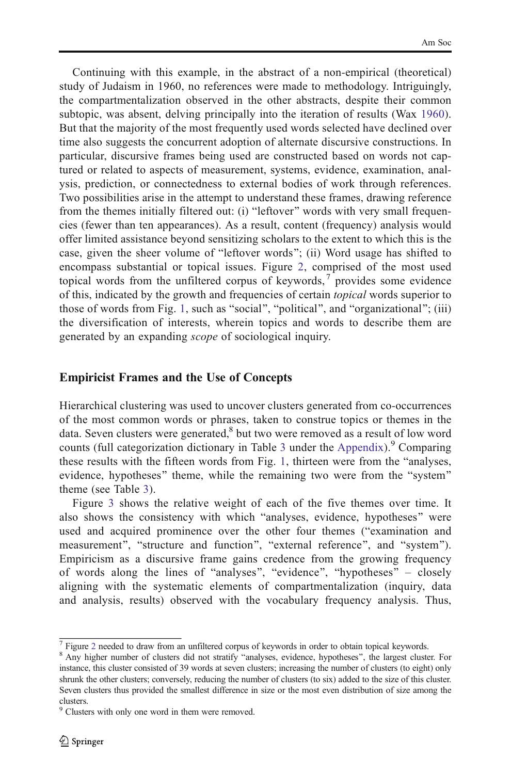Continuing with this example, in the abstract of a non-empirical (theoretical) study of Judaism in 1960, no references were made to methodology. Intriguingly, the compartmentalization observed in the other abstracts, despite their common subtopic, was absent, delving principally into the iteration of results (Wax [1960\)](#page-18-0). But that the majority of the most frequently used words selected have declined over time also suggests the concurrent adoption of alternate discursive constructions. In particular, discursive frames being used are constructed based on words not captured or related to aspects of measurement, systems, evidence, examination, analysis, prediction, or connectedness to external bodies of work through references. Two possibilities arise in the attempt to understand these frames, drawing reference from the themes initially filtered out: (i) "leftover" words with very small frequencies (fewer than ten appearances). As a result, content (frequency) analysis would offer limited assistance beyond sensitizing scholars to the extent to which this is the case, given the sheer volume of "leftover words"; (ii) Word usage has shifted to encompass substantial or topical issues. Figure [2](#page-9-0), comprised of the most used topical words from the unfiltered corpus of keywords,  $\gamma$  provides some evidence of this, indicated by the growth and frequencies of certain *topical* words superior to those of words from Fig. [1,](#page-7-0) such as "social", "political", and "organizational"; (iii) the diversification of interests, wherein topics and words to describe them are generated by an expanding scope of sociological inquiry.

#### Empiricist Frames and the Use of Concepts

Hierarchical clustering was used to uncover clusters generated from co-occurrences of the most common words or phrases, taken to construe topics or themes in the data. Seven clusters were generated, $8$  but two were removed as a result of low word counts (full categorization dictionary in Table [3](#page-16-0) under the [Appendix](#page-15-0)). Comparing these results with the fifteen words from Fig. [1](#page-7-0), thirteen were from the "analyses. evidence, hypotheses" theme, while the remaining two were from the "system" theme (see Table [3](#page-16-0)).

Figure [3](#page-9-0) shows the relative weight of each of the five themes over time. It also shows the consistency with which "analyses, evidence, hypotheses" were used and acquired prominence over the other four themes ("examination and measurement", "structure and function", "external reference", and "system"). Empiricism as a discursive frame gains credence from the growing frequency of words along the lines of "analyses", "evidence", "hypotheses" – closely aligning with the systematic elements of compartmentalization (inquiry, data and analysis, results) observed with the vocabulary frequency analysis. Thus,

 $^7$  Figure [2](#page-9-0) needed to draw from an unfiltered corpus of keywords in order to obtain topical keywords.  $^8$  Any higher number of clusters did not stratify "analyses, evidence, hypotheses", the largest cluster. For instance, this cluster consisted of 39 words at seven clusters; increasing the number of clusters (to eight) only shrunk the other clusters; conversely, reducing the number of clusters (to six) added to the size of this cluster. Seven clusters thus provided the smallest difference in size or the most even distribution of size among the clusters.

<sup>9</sup> Clusters with only one word in them were removed.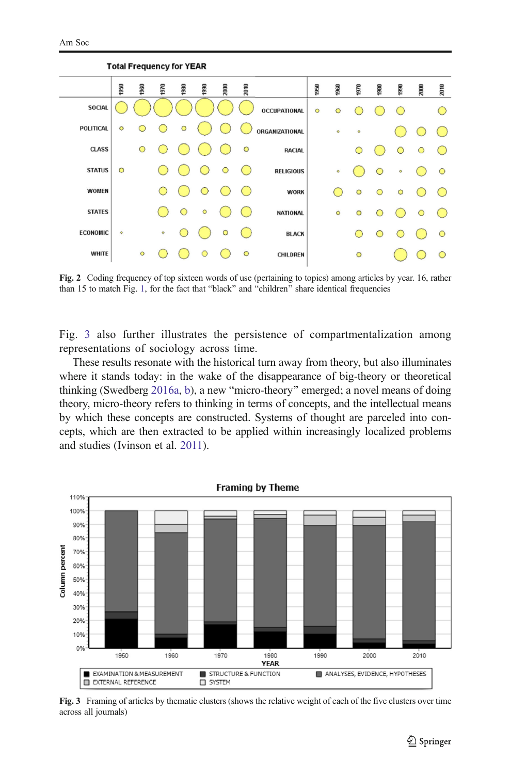$\sim$   $\sim$   $\sim$   $\sim$ 

<span id="page-9-0"></span>

| TO tail Frequency for TEAR |         |         |      |         |                                               |      |         |                     |         |           |         |            |           |         |         |
|----------------------------|---------|---------|------|---------|-----------------------------------------------|------|---------|---------------------|---------|-----------|---------|------------|-----------|---------|---------|
|                            | 1950    | 1960    | 1970 | 1980    | 1990                                          | 2000 | 2010    |                     | 1950    | 1960      | 1970    | 1980       | 1990      | 2000    | 2010    |
| <b>SOCIAL</b>              |         |         |      |         |                                               |      |         | <b>OCCUPATIONAL</b> | $\circ$ | $\circ$   |         |            |           |         |         |
| POLITICAL                  | $\circ$ |         |      | O       |                                               |      |         | ORGANIZATIONAL      |         | $\bullet$ | ۰       |            |           |         |         |
| <b>CLASS</b>               |         | $\circ$ |      |         |                                               |      | O       | <b>RACIAL</b>       |         |           |         |            | O         | $\circ$ |         |
| <b>STATUS</b>              | $\circ$ |         |      |         |                                               | O    |         | <b>RELIGIOUS</b>    |         | ۰         |         | O          | $\bullet$ |         | $\circ$ |
| WOMEN                      |         |         |      |         | $\left( \begin{array}{c} \end{array} \right)$ |      |         | <b>WORK</b>         |         |           | O       | $\circ$    | $\circ$   |         |         |
| <b>STATES</b>              |         |         |      | $\circ$ | $\circ$                                       |      |         | <b>NATIONAL</b>     |         | $\circ$   | $\circ$ | $\bigcirc$ |           | $\circ$ |         |
| <b>ECONOMIC</b>            | ۰       |         | ۰    |         |                                               | O    |         | <b>BLACK</b>        |         |           |         | $\circ$    |           |         | $\circ$ |
| WHITE                      |         | $\circ$ |      |         | ∩                                             |      | $\circ$ | <b>CHILDREN</b>     |         |           | O       |            |           |         | ∩       |

Fig. 2 Coding frequency of top sixteen words of use (pertaining to topics) among articles by year. 16, rather than [1](#page-7-0)5 to match Fig. 1, for the fact that "black" and "children" share identical frequencies

Fig. 3 also further illustrates the persistence of compartmentalization among representations of sociology across time.

These results resonate with the historical turn away from theory, but also illuminates where it stands today: in the wake of the disappearance of big-theory or theoretical thinking (Swedberg [2016a,](#page-18-0) [b\)](#page-18-0), a new "micro-theory" emerged; a novel means of doing theory, micro-theory refers to thinking in terms of concepts, and the intellectual means by which these concepts are constructed. Systems of thought are parceled into concepts, which are then extracted to be applied within increasingly localized problems and studies (Ivinson et al. [2011](#page-18-0)).



Fig. 3 Framing of articles by thematic clusters (shows the relative weight of each of the five clusters over time across all journals)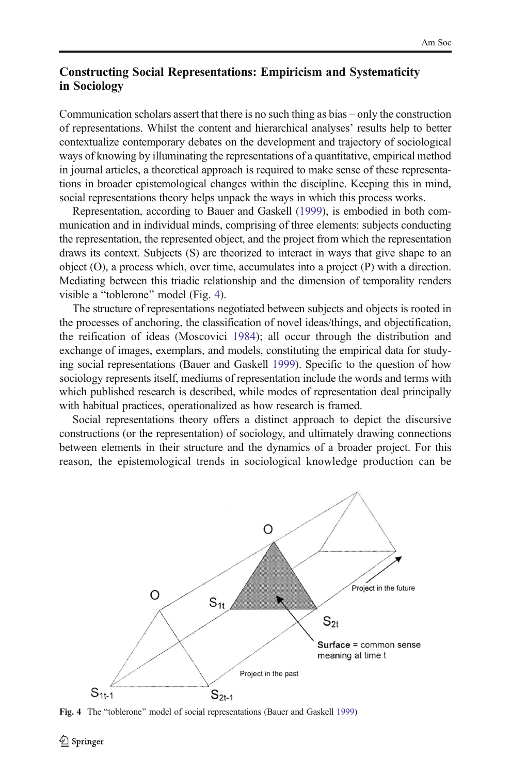#### Constructing Social Representations: Empiricism and Systematicity in Sociology

Communication scholars assert that there is no such thing as bias – only the construction of representations. Whilst the content and hierarchical analyses' results help to better contextualize contemporary debates on the development and trajectory of sociological ways of knowing by illuminating the representations of a quantitative, empirical method in journal articles, a theoretical approach is required to make sense of these representations in broader epistemological changes within the discipline. Keeping this in mind, social representations theory helps unpack the ways in which this process works.

Representation, according to Bauer and Gaskell ([1999](#page-17-0)), is embodied in both communication and in individual minds, comprising of three elements: subjects conducting the representation, the represented object, and the project from which the representation draws its context. Subjects (S) are theorized to interact in ways that give shape to an object (O), a process which, over time, accumulates into a project (P) with a direction. Mediating between this triadic relationship and the dimension of temporality renders visible a "toblerone" model (Fig. 4).

The structure of representations negotiated between subjects and objects is rooted in the processes of anchoring, the classification of novel ideas/things, and objectification, the reification of ideas (Moscovici [1984](#page-18-0)); all occur through the distribution and exchange of images, exemplars, and models, constituting the empirical data for studying social representations (Bauer and Gaskell [1999\)](#page-17-0). Specific to the question of how sociology represents itself, mediums of representation include the words and terms with which published research is described, while modes of representation deal principally with habitual practices, operationalized as how research is framed.

Social representations theory offers a distinct approach to depict the discursive constructions (or the representation) of sociology, and ultimately drawing connections between elements in their structure and the dynamics of a broader project. For this reason, the epistemological trends in sociological knowledge production can be



Fig. 4 The "toblerone" model of social representations (Bauer and Gaskell [1999\)](#page-17-0)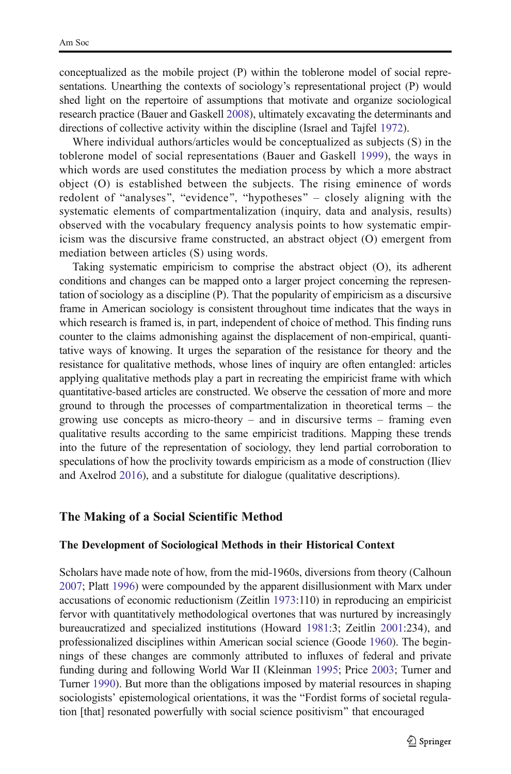conceptualized as the mobile project (P) within the toblerone model of social representations. Unearthing the contexts of sociology's representational project (P) would shed light on the repertoire of assumptions that motivate and organize sociological research practice (Bauer and Gaskell [2008](#page-17-0)), ultimately excavating the determinants and directions of collective activity within the discipline (Israel and Tajfel [1972\)](#page-18-0).

Where individual authors/articles would be conceptualized as subjects (S) in the toblerone model of social representations (Bauer and Gaskell [1999](#page-17-0)), the ways in which words are used constitutes the mediation process by which a more abstract object (O) is established between the subjects. The rising eminence of words redolent of "analyses", "evidence", "hypotheses" – closely aligning with the systematic elements of compartmentalization (inquiry, data and analysis, results) observed with the vocabulary frequency analysis points to how systematic empiricism was the discursive frame constructed, an abstract object (O) emergent from mediation between articles (S) using words.

Taking systematic empiricism to comprise the abstract object (O), its adherent conditions and changes can be mapped onto a larger project concerning the representation of sociology as a discipline (P). That the popularity of empiricism as a discursive frame in American sociology is consistent throughout time indicates that the ways in which research is framed is, in part, independent of choice of method. This finding runs counter to the claims admonishing against the displacement of non-empirical, quantitative ways of knowing. It urges the separation of the resistance for theory and the resistance for qualitative methods, whose lines of inquiry are often entangled: articles applying qualitative methods play a part in recreating the empiricist frame with which quantitative-based articles are constructed. We observe the cessation of more and more ground to through the processes of compartmentalization in theoretical terms – the growing use concepts as micro-theory – and in discursive terms – framing even qualitative results according to the same empiricist traditions. Mapping these trends into the future of the representation of sociology, they lend partial corroboration to speculations of how the proclivity towards empiricism as a mode of construction (Iliev and Axelrod [2016](#page-18-0)), and a substitute for dialogue (qualitative descriptions).

#### The Making of a Social Scientific Method

#### The Development of Sociological Methods in their Historical Context

Scholars have made note of how, from the mid-1960s, diversions from theory (Calhoun [2007;](#page-17-0) Platt [1996\)](#page-18-0) were compounded by the apparent disillusionment with Marx under accusations of economic reductionism (Zeitlin [1973:](#page-18-0)110) in reproducing an empiricist fervor with quantitatively methodological overtones that was nurtured by increasingly bureaucratized and specialized institutions (Howard [1981](#page-18-0):3; Zeitlin [2001](#page-18-0):234), and professionalized disciplines within American social science (Goode [1960](#page-17-0)). The beginnings of these changes are commonly attributed to influxes of federal and private funding during and following World War II (Kleinman [1995;](#page-18-0) Price [2003](#page-18-0); Turner and Turner [1990](#page-18-0)). But more than the obligations imposed by material resources in shaping sociologists' epistemological orientations, it was the "Fordist forms of societal regulation [that] resonated powerfully with social science positivism^ that encouraged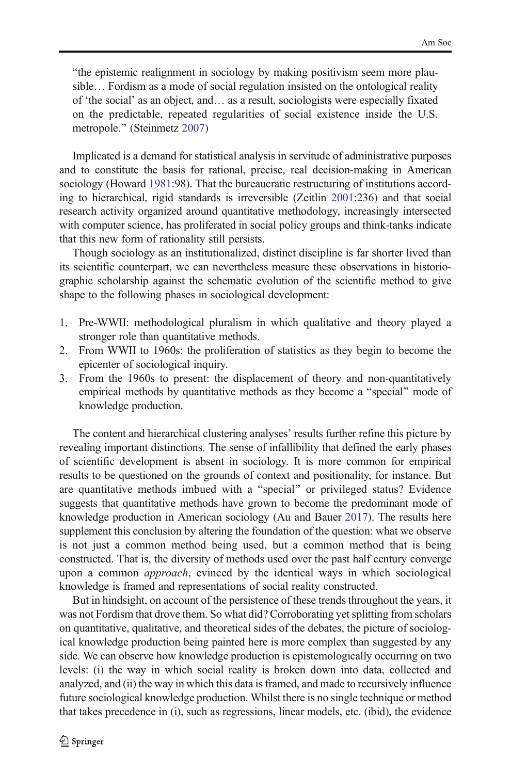"the epistemic realignment in sociology by making positivism seem more plausible… Fordism as a mode of social regulation insisted on the ontological reality of 'the social' as an object, and… as a result, sociologists were especially fixated on the predictable, repeated regularities of social existence inside the U.S. metropole." (Steinmetz [2007](#page-18-0))

Implicated is a demand for statistical analysis in servitude of administrative purposes and to constitute the basis for rational, precise, real decision-making in American sociology (Howard [1981:](#page-18-0)98). That the bureaucratic restructuring of institutions according to hierarchical, rigid standards is irreversible (Zeitlin [2001](#page-18-0):236) and that social research activity organized around quantitative methodology, increasingly intersected with computer science, has proliferated in social policy groups and think-tanks indicate that this new form of rationality still persists.

Though sociology as an institutionalized, distinct discipline is far shorter lived than its scientific counterpart, we can nevertheless measure these observations in historiographic scholarship against the schematic evolution of the scientific method to give shape to the following phases in sociological development:

- 1. Pre-WWII: methodological pluralism in which qualitative and theory played a stronger role than quantitative methods.
- 2. From WWII to 1960s: the proliferation of statistics as they begin to become the epicenter of sociological inquiry.
- 3. From the 1960s to present: the displacement of theory and non-quantitatively empirical methods by quantitative methods as they become a "special" mode of knowledge production.

The content and hierarchical clustering analyses' results further refine this picture by revealing important distinctions. The sense of infallibility that defined the early phases of scientific development is absent in sociology. It is more common for empirical results to be questioned on the grounds of context and positionality, for instance. But are quantitative methods imbued with a "special" or privileged status? Evidence suggests that quantitative methods have grown to become the predominant mode of knowledge production in American sociology (Au and Bauer [2017](#page-17-0)). The results here supplement this conclusion by altering the foundation of the question: what we observe is not just a common method being used, but a common method that is being constructed. That is, the diversity of methods used over the past half century converge upon a common approach, evinced by the identical ways in which sociological knowledge is framed and representations of social reality constructed.

But in hindsight, on account of the persistence of these trends throughout the years, it was not Fordism that drove them. So what did? Corroborating yet splitting from scholars on quantitative, qualitative, and theoretical sides of the debates, the picture of sociological knowledge production being painted here is more complex than suggested by any side. We can observe how knowledge production is epistemologically occurring on two levels: (i) the way in which social reality is broken down into data, collected and analyzed, and (ii) the way in which this data is framed, and made to recursively influence future sociological knowledge production. Whilst there is no single technique or method that takes precedence in (i), such as regressions, linear models, etc. (ibid), the evidence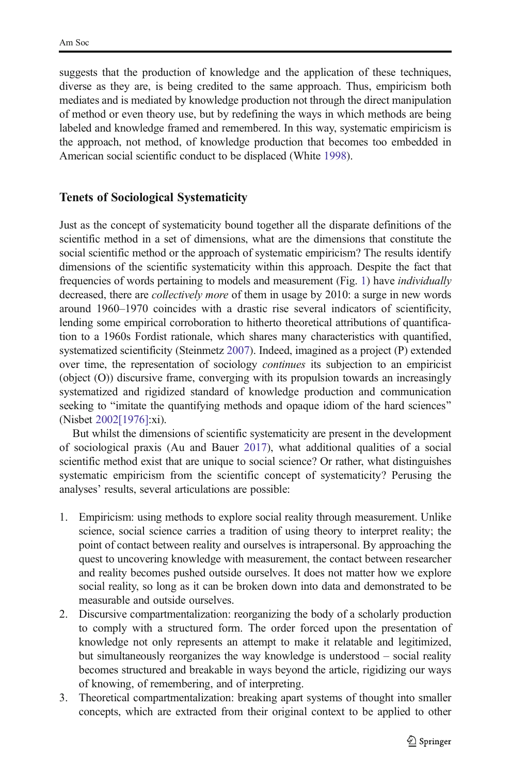suggests that the production of knowledge and the application of these techniques, diverse as they are, is being credited to the same approach. Thus, empiricism both mediates and is mediated by knowledge production not through the direct manipulation of method or even theory use, but by redefining the ways in which methods are being labeled and knowledge framed and remembered. In this way, systematic empiricism is the approach, not method, of knowledge production that becomes too embedded in American social scientific conduct to be displaced (White [1998](#page-18-0)).

#### Tenets of Sociological Systematicity

Just as the concept of systematicity bound together all the disparate definitions of the scientific method in a set of dimensions, what are the dimensions that constitute the social scientific method or the approach of systematic empiricism? The results identify dimensions of the scientific systematicity within this approach. Despite the fact that frequencies of words pertaining to models and measurement (Fig. [1](#page-7-0)) have individually decreased, there are *collectively more* of them in usage by 2010: a surge in new words around 1960–1970 coincides with a drastic rise several indicators of scientificity, lending some empirical corroboration to hitherto theoretical attributions of quantification to a 1960s Fordist rationale, which shares many characteristics with quantified, systematized scientificity (Steinmetz [2007\)](#page-18-0). Indeed, imagined as a project (P) extended over time, the representation of sociology *continues* its subjection to an empiricist (object (O)) discursive frame, converging with its propulsion towards an increasingly systematized and rigidized standard of knowledge production and communication seeking to "imitate the quantifying methods and opaque idiom of the hard sciences" (Nisbet [2002\[1976\]:](#page-18-0)xi).

But whilst the dimensions of scientific systematicity are present in the development of sociological praxis (Au and Bauer [2017\)](#page-17-0), what additional qualities of a social scientific method exist that are unique to social science? Or rather, what distinguishes systematic empiricism from the scientific concept of systematicity? Perusing the analyses' results, several articulations are possible:

- 1. Empiricism: using methods to explore social reality through measurement. Unlike science, social science carries a tradition of using theory to interpret reality; the point of contact between reality and ourselves is intrapersonal. By approaching the quest to uncovering knowledge with measurement, the contact between researcher and reality becomes pushed outside ourselves. It does not matter how we explore social reality, so long as it can be broken down into data and demonstrated to be measurable and outside ourselves.
- 2. Discursive compartmentalization: reorganizing the body of a scholarly production to comply with a structured form. The order forced upon the presentation of knowledge not only represents an attempt to make it relatable and legitimized, but simultaneously reorganizes the way knowledge is understood – social reality becomes structured and breakable in ways beyond the article, rigidizing our ways of knowing, of remembering, and of interpreting.
- 3. Theoretical compartmentalization: breaking apart systems of thought into smaller concepts, which are extracted from their original context to be applied to other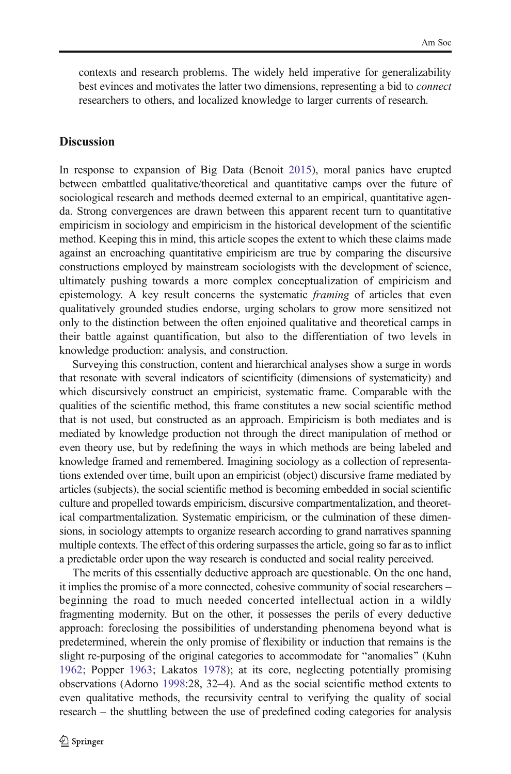contexts and research problems. The widely held imperative for generalizability best evinces and motivates the latter two dimensions, representing a bid to connect researchers to others, and localized knowledge to larger currents of research.

#### **Discussion**

In response to expansion of Big Data (Benoit [2015](#page-17-0)), moral panics have erupted between embattled qualitative/theoretical and quantitative camps over the future of sociological research and methods deemed external to an empirical, quantitative agenda. Strong convergences are drawn between this apparent recent turn to quantitative empiricism in sociology and empiricism in the historical development of the scientific method. Keeping this in mind, this article scopes the extent to which these claims made against an encroaching quantitative empiricism are true by comparing the discursive constructions employed by mainstream sociologists with the development of science, ultimately pushing towards a more complex conceptualization of empiricism and epistemology. A key result concerns the systematic *framing* of articles that even qualitatively grounded studies endorse, urging scholars to grow more sensitized not only to the distinction between the often enjoined qualitative and theoretical camps in their battle against quantification, but also to the differentiation of two levels in knowledge production: analysis, and construction.

Surveying this construction, content and hierarchical analyses show a surge in words that resonate with several indicators of scientificity (dimensions of systematicity) and which discursively construct an empiricist, systematic frame. Comparable with the qualities of the scientific method, this frame constitutes a new social scientific method that is not used, but constructed as an approach. Empiricism is both mediates and is mediated by knowledge production not through the direct manipulation of method or even theory use, but by redefining the ways in which methods are being labeled and knowledge framed and remembered. Imagining sociology as a collection of representations extended over time, built upon an empiricist (object) discursive frame mediated by articles (subjects), the social scientific method is becoming embedded in social scientific culture and propelled towards empiricism, discursive compartmentalization, and theoretical compartmentalization. Systematic empiricism, or the culmination of these dimensions, in sociology attempts to organize research according to grand narratives spanning multiple contexts. The effect of this ordering surpasses the article, going so far as to inflict a predictable order upon the way research is conducted and social reality perceived.

The merits of this essentially deductive approach are questionable. On the one hand, it implies the promise of a more connected, cohesive community of social researchers – beginning the road to much needed concerted intellectual action in a wildly fragmenting modernity. But on the other, it possesses the perils of every deductive approach: foreclosing the possibilities of understanding phenomena beyond what is predetermined, wherein the only promise of flexibility or induction that remains is the slight re-purposing of the original categories to accommodate for "anomalies" (Kuhn [1962](#page-18-0); Popper [1963](#page-18-0); Lakatos [1978\)](#page-18-0); at its core, neglecting potentially promising observations (Adorno [1998](#page-17-0):28, 32–4). And as the social scientific method extents to even qualitative methods, the recursivity central to verifying the quality of social research – the shuttling between the use of predefined coding categories for analysis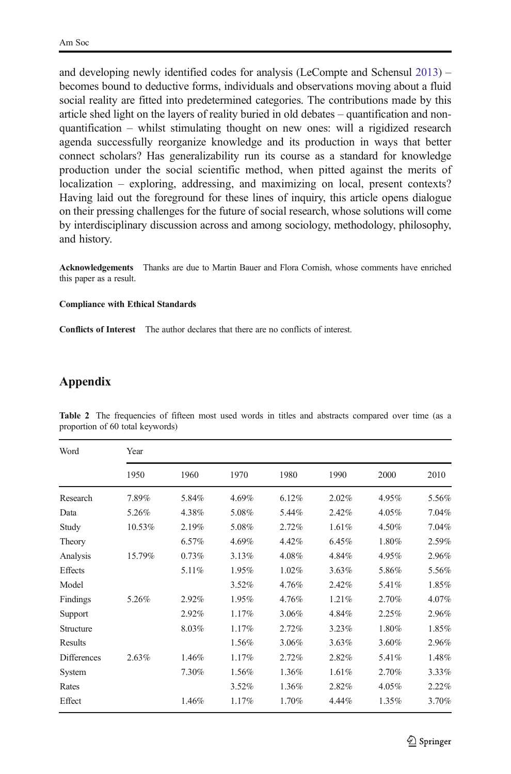<span id="page-15-0"></span>and developing newly identified codes for analysis (LeCompte and Schensul [2013](#page-18-0)) – becomes bound to deductive forms, individuals and observations moving about a fluid social reality are fitted into predetermined categories. The contributions made by this article shed light on the layers of reality buried in old debates – quantification and nonquantification – whilst stimulating thought on new ones: will a rigidized research agenda successfully reorganize knowledge and its production in ways that better connect scholars? Has generalizability run its course as a standard for knowledge production under the social scientific method, when pitted against the merits of localization – exploring, addressing, and maximizing on local, present contexts? Having laid out the foreground for these lines of inquiry, this article opens dialogue on their pressing challenges for the future of social research, whose solutions will come by interdisciplinary discussion across and among sociology, methodology, philosophy, and history.

Acknowledgements Thanks are due to Martin Bauer and Flora Cornish, whose comments have enriched this paper as a result.

#### Compliance with Ethical Standards

Conflicts of Interest The author declares that there are no conflicts of interest.

#### Appendix

| Word               | Year   |       |          |       |       |       |       |  |  |  |  |  |
|--------------------|--------|-------|----------|-------|-------|-------|-------|--|--|--|--|--|
|                    | 1950   | 1960  | 1970     | 1980  | 1990  | 2000  | 2010  |  |  |  |  |  |
| Research           | 7.89%  | 5.84% | 4.69%    | 6.12% | 2.02% | 4.95% | 5.56% |  |  |  |  |  |
| Data               | 5.26%  | 4.38% | 5.08%    | 5.44% | 2.42% | 4.05% | 7.04% |  |  |  |  |  |
| Study              | 10.53% | 2.19% | 5.08%    | 2.72% | 1.61% | 4.50% | 7.04% |  |  |  |  |  |
| Theory             |        | 6.57% | 4.69%    | 4.42% | 6.45% | 1.80% | 2.59% |  |  |  |  |  |
| Analysis           | 15.79% | 0.73% | 3.13%    | 4.08% | 4.84% | 4.95% | 2.96% |  |  |  |  |  |
| Effects            |        | 5.11% | 1.95%    | 1.02% | 3.63% | 5.86% | 5.56% |  |  |  |  |  |
| Model              |        |       | 3.52%    | 4.76% | 2.42% | 5.41% | 1.85% |  |  |  |  |  |
| Findings           | 5.26%  | 2.92% | 1.95%    | 4.76% | 1.21% | 2.70% | 4.07% |  |  |  |  |  |
| Support            |        | 2.92% | 1.17%    | 3.06% | 4.84% | 2.25% | 2.96% |  |  |  |  |  |
| Structure          |        | 8.03% | 1.17%    | 2.72% | 3.23% | 1.80% | 1.85% |  |  |  |  |  |
| Results            |        |       | 1.56%    | 3.06% | 3.63% | 3.60% | 2.96% |  |  |  |  |  |
| <b>Differences</b> | 2.63%  | 1.46% | 1.17%    | 2.72% | 2.82% | 5.41% | 1.48% |  |  |  |  |  |
| System             |        | 7.30% | 1.56%    | 1.36% | 1.61% | 2.70% | 3.33% |  |  |  |  |  |
| Rates              |        |       | $3.52\%$ | 1.36% | 2.82% | 4.05% | 2.22% |  |  |  |  |  |
| Effect             |        | 1.46% | 1.17%    | 1.70% | 4.44% | 1.35% | 3.70% |  |  |  |  |  |

Table 2 The frequencies of fifteen most used words in titles and abstracts compared over time (as a proportion of 60 total keywords)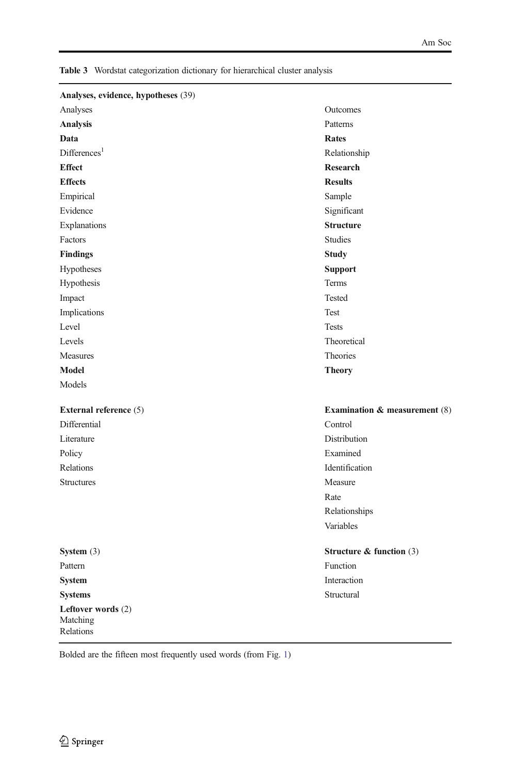| Analyses, evidence, hypotheses (39)         |                                          |
|---------------------------------------------|------------------------------------------|
| Analyses                                    | Outcomes                                 |
| <b>Analysis</b>                             | Patterns                                 |
| Data                                        | <b>Rates</b>                             |
| Difference <sub>1</sub>                     | Relationship                             |
| <b>Effect</b>                               | Research                                 |
| <b>Effects</b>                              | <b>Results</b>                           |
| Empirical                                   | Sample                                   |
| Evidence                                    | Significant                              |
| Explanations                                | <b>Structure</b>                         |
| Factors                                     | <b>Studies</b>                           |
| <b>Findings</b>                             | <b>Study</b>                             |
| Hypotheses                                  | <b>Support</b>                           |
| Hypothesis                                  | Terms                                    |
| Impact                                      | Tested                                   |
| Implications                                | Test                                     |
| Level                                       | <b>Tests</b>                             |
| Levels                                      | Theoretical                              |
| Measures                                    | Theories                                 |
| Model                                       | <b>Theory</b>                            |
| Models                                      |                                          |
| External reference (5)                      | <b>Examination &amp; measurement (8)</b> |
| Differential                                | Control                                  |
| Literature                                  | Distribution                             |
| Policy                                      | Examined                                 |
| Relations                                   | Identification                           |
| <b>Structures</b>                           | Measure                                  |
|                                             | Rate                                     |
|                                             | Relationships                            |
|                                             | Variables                                |
| System $(3)$                                | Structure & function $(3)$               |
| Pattern                                     | Function                                 |
| <b>System</b>                               | Interaction                              |
| <b>Systems</b>                              | Structural                               |
| Leftover words (2)<br>Matching<br>Relations |                                          |

<span id="page-16-0"></span>Table 3 Wordstat categorization dictionary for hierarchical cluster analysis

Bolded are the fifteen most frequently used words (from Fig. [1\)](#page-7-0)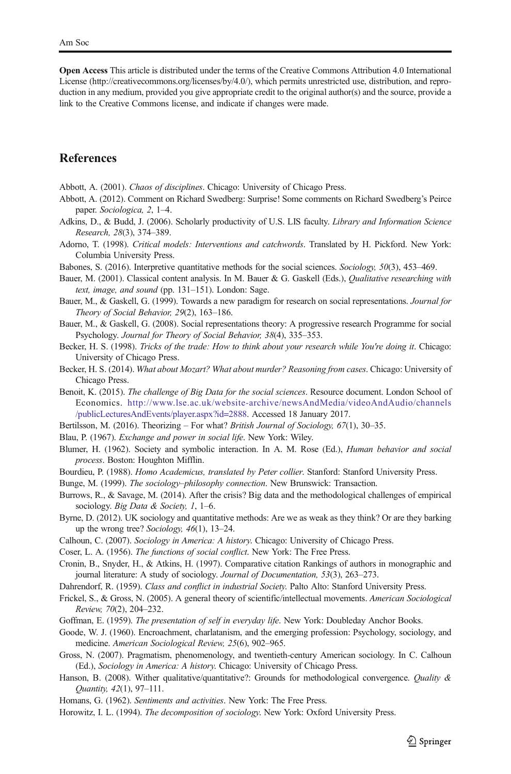<span id="page-17-0"></span>Open Access This article is distributed under the terms of the Creative Commons Attribution 4.0 International License (http://creativecommons.org/licenses/by/4.0/), which permits unrestricted use, distribution, and reproduction in any medium, provided you give appropriate credit to the original author(s) and the source, provide a link to the Creative Commons license, and indicate if changes were made.

#### **References**

- Abbott, A. (2001). Chaos of disciplines. Chicago: University of Chicago Press.
- Abbott, A. (2012). Comment on Richard Swedberg: Surprise! Some comments on Richard Swedberg's Peirce paper. Sociologica, 2, 1–4.
- Adkins, D., & Budd, J. (2006). Scholarly productivity of U.S. LIS faculty. Library and Information Science Research, 28(3), 374–389.
- Adorno, T. (1998). Critical models: Interventions and catchwords. Translated by H. Pickford. New York: Columbia University Press.
- Babones, S. (2016). Interpretive quantitative methods for the social sciences. Sociology, 50(3), 453–469.
- Bauer, M. (2001). Classical content analysis. In M. Bauer & G. Gaskell (Eds.), *Qualitative researching with* text, image, and sound (pp. 131–151). London: Sage.
- Bauer, M., & Gaskell, G. (1999). Towards a new paradigm for research on social representations. Journal for Theory of Social Behavior, 29(2), 163–186.
- Bauer, M., & Gaskell, G. (2008). Social representations theory: A progressive research Programme for social Psychology. Journal for Theory of Social Behavior, 38(4), 335–353.
- Becker, H. S. (1998). Tricks of the trade: How to think about your research while You're doing it. Chicago: University of Chicago Press.
- Becker, H. S. (2014). What about Mozart? What about murder? Reasoning from cases. Chicago: University of Chicago Press.
- Benoit, K. (2015). The challenge of Big Data for the social sciences. Resource document. London School of Economics. [http://www.lse.ac.uk/website-archive/newsAndMedia/videoAndAudio/channels](http://www.lse.ac.uk/website-archive/newsAndMedia/videoAndAudio/channels/publicLecturesAndEvents/player.aspx?id=2888) [/publicLecturesAndEvents/player.aspx?id=2888](http://www.lse.ac.uk/website-archive/newsAndMedia/videoAndAudio/channels/publicLecturesAndEvents/player.aspx?id=2888). Accessed 18 January 2017.
- Bertilsson, M. (2016). Theorizing For what? British Journal of Sociology, 67(1), 30–35.
- Blau, P. (1967). Exchange and power in social life. New York: Wiley.
- Blumer, H. (1962). Society and symbolic interaction. In A. M. Rose (Ed.), Human behavior and social process. Boston: Houghton Mifflin.
- Bourdieu, P. (1988). Homo Academicus, translated by Peter collier. Stanford: Stanford University Press.
- Bunge, M. (1999). The sociology–philosophy connection. New Brunswick: Transaction.
- Burrows, R., & Savage, M. (2014). After the crisis? Big data and the methodological challenges of empirical sociology. Big Data & Society, 1, 1-6.
- Byrne, D. (2012). UK sociology and quantitative methods: Are we as weak as they think? Or are they barking up the wrong tree? Sociology, 46(1), 13–24.
- Calhoun, C. (2007). Sociology in America: A history. Chicago: University of Chicago Press.
- Coser, L. A. (1956). The functions of social conflict. New York: The Free Press.
- Cronin, B., Snyder, H., & Atkins, H. (1997). Comparative citation Rankings of authors in monographic and journal literature: A study of sociology. Journal of Documentation, 53(3), 263–273.
- Dahrendorf, R. (1959). Class and conflict in industrial Society. Palto Alto: Stanford University Press.
- Frickel, S., & Gross, N. (2005). A general theory of scientific/intellectual movements. American Sociological Review, 70(2), 204–232.
- Goffman, E. (1959). The presentation of self in everyday life. New York: Doubleday Anchor Books.
- Goode, W. J. (1960). Encroachment, charlatanism, and the emerging profession: Psychology, sociology, and medicine. American Sociological Review, 25(6), 902–965.
- Gross, N. (2007). Pragmatism, phenomenology, and twentieth-century American sociology. In C. Calhoun (Ed.), Sociology in America: A history. Chicago: University of Chicago Press.
- Hanson, B. (2008). Wither qualitative/quantitative?: Grounds for methodological convergence. *Quality &* Quantity, 42(1), 97–111.
- Homans, G. (1962). Sentiments and activities. New York: The Free Press.
- Horowitz, I. L. (1994). The decomposition of sociology. New York: Oxford University Press.